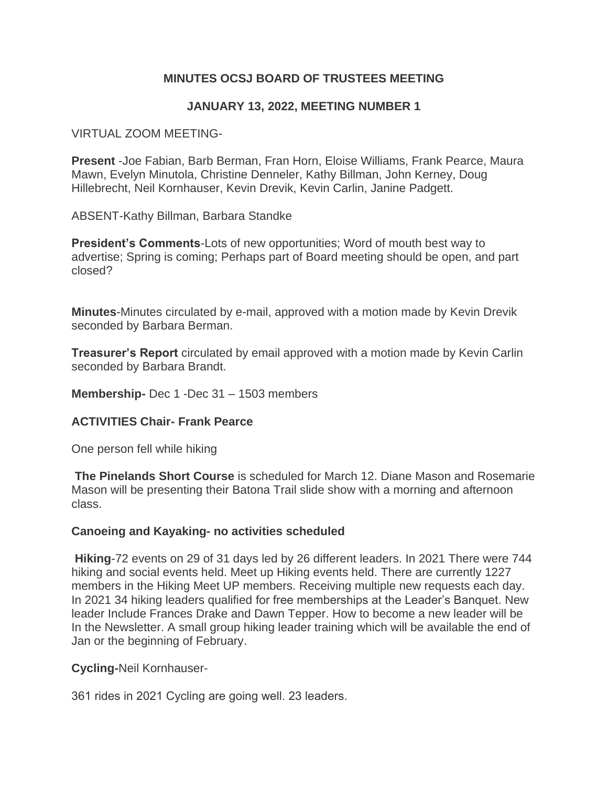# **MINUTES OCSJ BOARD OF TRUSTEES MEETING**

## **JANUARY 13, 2022, MEETING NUMBER 1**

#### VIRTUAL ZOOM MEETING-

**Present** -Joe Fabian, Barb Berman, Fran Horn, Eloise Williams, Frank Pearce, Maura Mawn, Evelyn Minutola, Christine Denneler, Kathy Billman, John Kerney, Doug Hillebrecht, Neil Kornhauser, Kevin Drevik, Kevin Carlin, Janine Padgett.

ABSENT-Kathy Billman, Barbara Standke

**President's Comments**-Lots of new opportunities; Word of mouth best way to advertise; Spring is coming; Perhaps part of Board meeting should be open, and part closed?

**Minutes**-Minutes circulated by e-mail, approved with a motion made by Kevin Drevik seconded by Barbara Berman.

**Treasurer's Report** circulated by email approved with a motion made by Kevin Carlin seconded by Barbara Brandt.

**Membership-** Dec 1 -Dec 31 – 1503 members

### **ACTIVITIES Chair- Frank Pearce**

One person fell while hiking

**The Pinelands Short Course** is scheduled for March 12. Diane Mason and Rosemarie Mason will be presenting their Batona Trail slide show with a morning and afternoon class.

#### **Canoeing and Kayaking- no activities scheduled**

**Hiking**-72 events on 29 of 31 days led by 26 different leaders. In 2021 There were 744 hiking and social events held. Meet up Hiking events held. There are currently 1227 members in the Hiking Meet UP members. Receiving multiple new requests each day. In 2021 34 hiking leaders qualified for free memberships at the Leader's Banquet. New leader Include Frances Drake and Dawn Tepper. How to become a new leader will be In the Newsletter. A small group hiking leader training which will be available the end of Jan or the beginning of February.

### **Cycling-**Neil Kornhauser-

361 rides in 2021 Cycling are going well. 23 leaders.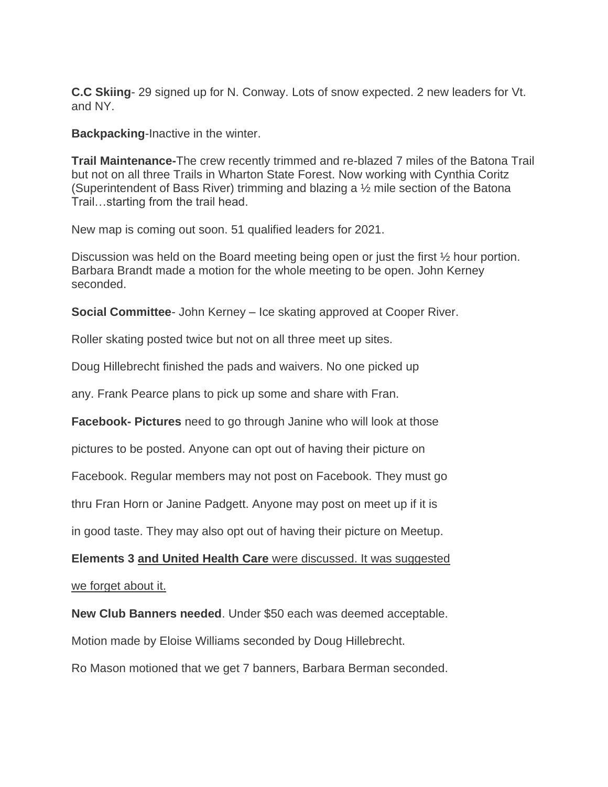**C.C Skiing**- 29 signed up for N. Conway. Lots of snow expected. 2 new leaders for Vt. and NY.

**Backpacking**-Inactive in the winter.

**Trail Maintenance-**The crew recently trimmed and re-blazed 7 miles of the Batona Trail but not on all three Trails in Wharton State Forest. Now working with Cynthia Coritz (Superintendent of Bass River) trimming and blazing a ½ mile section of the Batona Trail…starting from the trail head.

New map is coming out soon. 51 qualified leaders for 2021.

Discussion was held on the Board meeting being open or just the first ½ hour portion. Barbara Brandt made a motion for the whole meeting to be open. John Kerney seconded.

**Social Committee**- John Kerney – Ice skating approved at Cooper River.

Roller skating posted twice but not on all three meet up sites.

Doug Hillebrecht finished the pads and waivers. No one picked up

any. Frank Pearce plans to pick up some and share with Fran.

**Facebook- Pictures** need to go through Janine who will look at those

pictures to be posted. Anyone can opt out of having their picture on

Facebook. Regular members may not post on Facebook. They must go

thru Fran Horn or Janine Padgett. Anyone may post on meet up if it is

in good taste. They may also opt out of having their picture on Meetup.

**Elements 3 and United Health Care** were discussed. It was suggested

we forget about it.

**New Club Banners needed**. Under \$50 each was deemed acceptable.

Motion made by Eloise Williams seconded by Doug Hillebrecht.

Ro Mason motioned that we get 7 banners, Barbara Berman seconded.